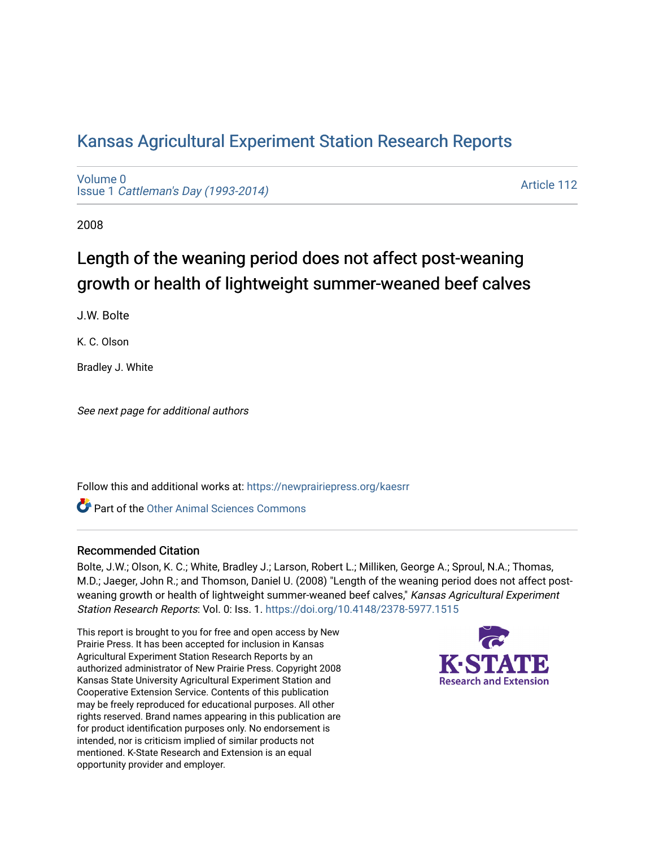# [Kansas Agricultural Experiment Station Research Reports](https://newprairiepress.org/kaesrr)

[Volume 0](https://newprairiepress.org/kaesrr/vol0) Issue 1 [Cattleman's Day \(1993-2014\)](https://newprairiepress.org/kaesrr/vol0/iss1) 

[Article 112](https://newprairiepress.org/kaesrr/vol0/iss1/112) 

2008

# Length of the weaning period does not affect post-weaning growth or health of lightweight summer-weaned beef calves

J.W. Bolte

K. C. Olson

Bradley J. White

See next page for additional authors

Follow this and additional works at: [https://newprairiepress.org/kaesrr](https://newprairiepress.org/kaesrr?utm_source=newprairiepress.org%2Fkaesrr%2Fvol0%2Fiss1%2F112&utm_medium=PDF&utm_campaign=PDFCoverPages) 

**C** Part of the [Other Animal Sciences Commons](http://network.bepress.com/hgg/discipline/82?utm_source=newprairiepress.org%2Fkaesrr%2Fvol0%2Fiss1%2F112&utm_medium=PDF&utm_campaign=PDFCoverPages)

#### Recommended Citation

Bolte, J.W.; Olson, K. C.; White, Bradley J.; Larson, Robert L.; Milliken, George A.; Sproul, N.A.; Thomas, M.D.; Jaeger, John R.; and Thomson, Daniel U. (2008) "Length of the weaning period does not affect postweaning growth or health of lightweight summer-weaned beef calves," Kansas Agricultural Experiment Station Research Reports: Vol. 0: Iss. 1.<https://doi.org/10.4148/2378-5977.1515>

This report is brought to you for free and open access by New Prairie Press. It has been accepted for inclusion in Kansas Agricultural Experiment Station Research Reports by an authorized administrator of New Prairie Press. Copyright 2008 Kansas State University Agricultural Experiment Station and Cooperative Extension Service. Contents of this publication may be freely reproduced for educational purposes. All other rights reserved. Brand names appearing in this publication are for product identification purposes only. No endorsement is intended, nor is criticism implied of similar products not mentioned. K-State Research and Extension is an equal opportunity provider and employer.

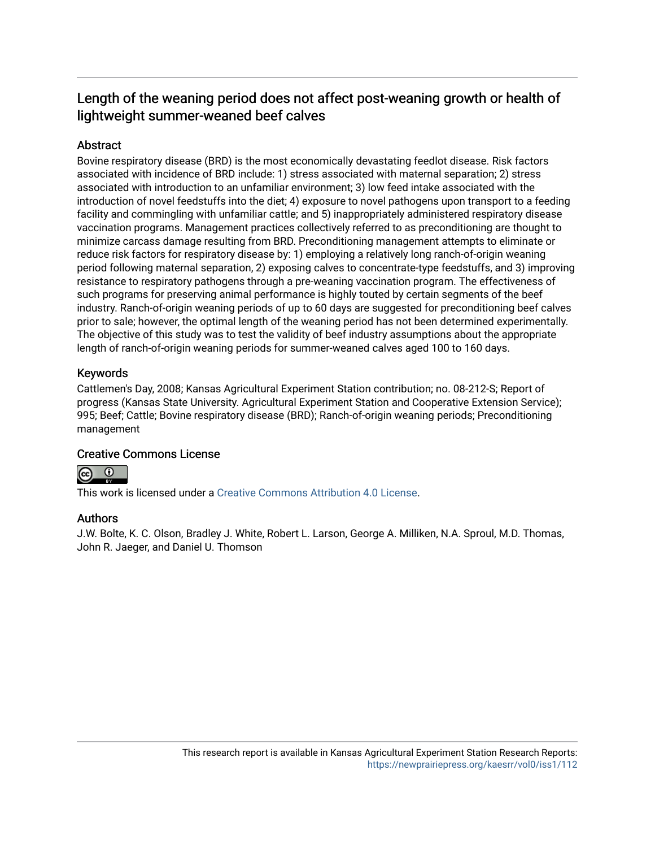# Length of the weaning period does not affect post-weaning growth or health of lightweight summer-weaned beef calves

# **Abstract**

Bovine respiratory disease (BRD) is the most economically devastating feedlot disease. Risk factors associated with incidence of BRD include: 1) stress associated with maternal separation; 2) stress associated with introduction to an unfamiliar environment; 3) low feed intake associated with the introduction of novel feedstuffs into the diet; 4) exposure to novel pathogens upon transport to a feeding facility and commingling with unfamiliar cattle; and 5) inappropriately administered respiratory disease vaccination programs. Management practices collectively referred to as preconditioning are thought to minimize carcass damage resulting from BRD. Preconditioning management attempts to eliminate or reduce risk factors for respiratory disease by: 1) employing a relatively long ranch-of-origin weaning period following maternal separation, 2) exposing calves to concentrate-type feedstuffs, and 3) improving resistance to respiratory pathogens through a pre-weaning vaccination program. The effectiveness of such programs for preserving animal performance is highly touted by certain segments of the beef industry. Ranch-of-origin weaning periods of up to 60 days are suggested for preconditioning beef calves prior to sale; however, the optimal length of the weaning period has not been determined experimentally. The objective of this study was to test the validity of beef industry assumptions about the appropriate length of ranch-of-origin weaning periods for summer-weaned calves aged 100 to 160 days.

# Keywords

Cattlemen's Day, 2008; Kansas Agricultural Experiment Station contribution; no. 08-212-S; Report of progress (Kansas State University. Agricultural Experiment Station and Cooperative Extension Service); 995; Beef; Cattle; Bovine respiratory disease (BRD); Ranch-of-origin weaning periods; Preconditioning management

## Creative Commons License



This work is licensed under a [Creative Commons Attribution 4.0 License](https://creativecommons.org/licenses/by/4.0/).

## Authors

J.W. Bolte, K. C. Olson, Bradley J. White, Robert L. Larson, George A. Milliken, N.A. Sproul, M.D. Thomas, John R. Jaeger, and Daniel U. Thomson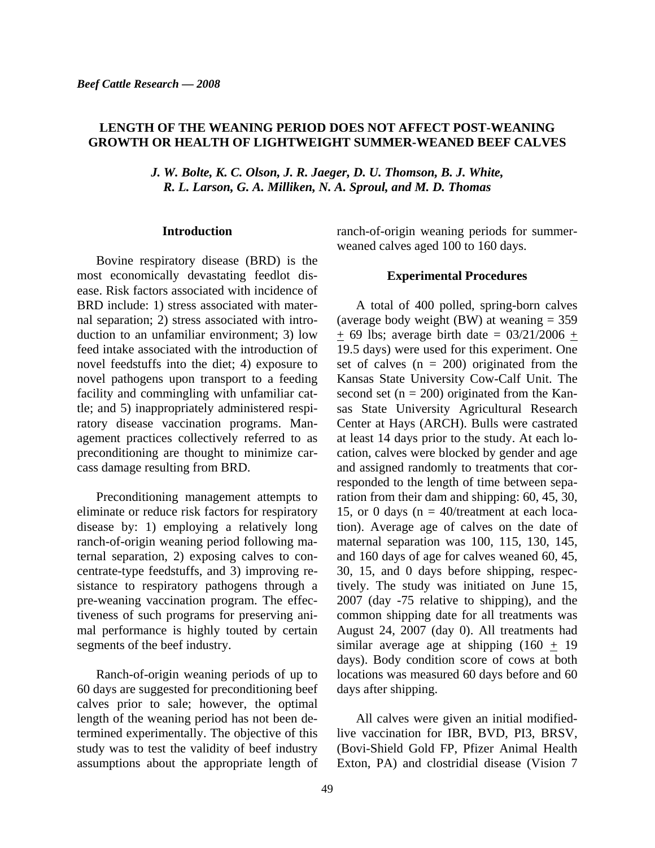### **LENGTH OF THE WEANING PERIOD DOES NOT AFFECT POST-WEANING GROWTH OR HEALTH OF LIGHTWEIGHT SUMMER-WEANED BEEF CALVES**

*J. W. Bolte, K. C. Olson, J. R. Jaeger, D. U. Thomson, B. J. White, R. L. Larson, G. A. Milliken, N. A. Sproul, and M. D. Thomas* 

#### **Introduction**

Bovine respiratory disease (BRD) is the most economically devastating feedlot disease. Risk factors associated with incidence of BRD include: 1) stress associated with maternal separation; 2) stress associated with introduction to an unfamiliar environment; 3) low feed intake associated with the introduction of novel feedstuffs into the diet; 4) exposure to novel pathogens upon transport to a feeding facility and commingling with unfamiliar cattle; and 5) inappropriately administered respiratory disease vaccination programs. Management practices collectively referred to as preconditioning are thought to minimize carcass damage resulting from BRD.

Preconditioning management attempts to eliminate or reduce risk factors for respiratory disease by: 1) employing a relatively long ranch-of-origin weaning period following maternal separation, 2) exposing calves to concentrate-type feedstuffs, and 3) improving resistance to respiratory pathogens through a pre-weaning vaccination program. The effectiveness of such programs for preserving animal performance is highly touted by certain segments of the beef industry.

Ranch-of-origin weaning periods of up to 60 days are suggested for preconditioning beef calves prior to sale; however, the optimal length of the weaning period has not been determined experimentally. The objective of this study was to test the validity of beef industry assumptions about the appropriate length of ranch-of-origin weaning periods for summerweaned calves aged 100 to 160 days.

#### **Experimental Procedures**

A total of 400 polled, spring-born calves (average body weight (BW) at weaning  $= 359$  $\pm$  69 lbs; average birth date = 03/21/2006  $\pm$ 19.5 days) were used for this experiment. One set of calves  $(n = 200)$  originated from the Kansas State University Cow-Calf Unit. The second set  $(n = 200)$  originated from the Kansas State University Agricultural Research Center at Hays (ARCH). Bulls were castrated at least 14 days prior to the study. At each location, calves were blocked by gender and age and assigned randomly to treatments that corresponded to the length of time between separation from their dam and shipping: 60, 45, 30, 15, or 0 days ( $n = 40$ /treatment at each location). Average age of calves on the date of maternal separation was 100, 115, 130, 145, and 160 days of age for calves weaned 60, 45, 30, 15, and 0 days before shipping, respectively. The study was initiated on June 15, 2007 (day -75 relative to shipping), and the common shipping date for all treatments was August 24, 2007 (day 0). All treatments had similar average age at shipping  $(160 + 19)$ days). Body condition score of cows at both locations was measured 60 days before and 60 days after shipping.

All calves were given an initial modifiedlive vaccination for IBR, BVD, PI3, BRSV, (Bovi-Shield Gold FP, Pfizer Animal Health Exton, PA) and clostridial disease (Vision 7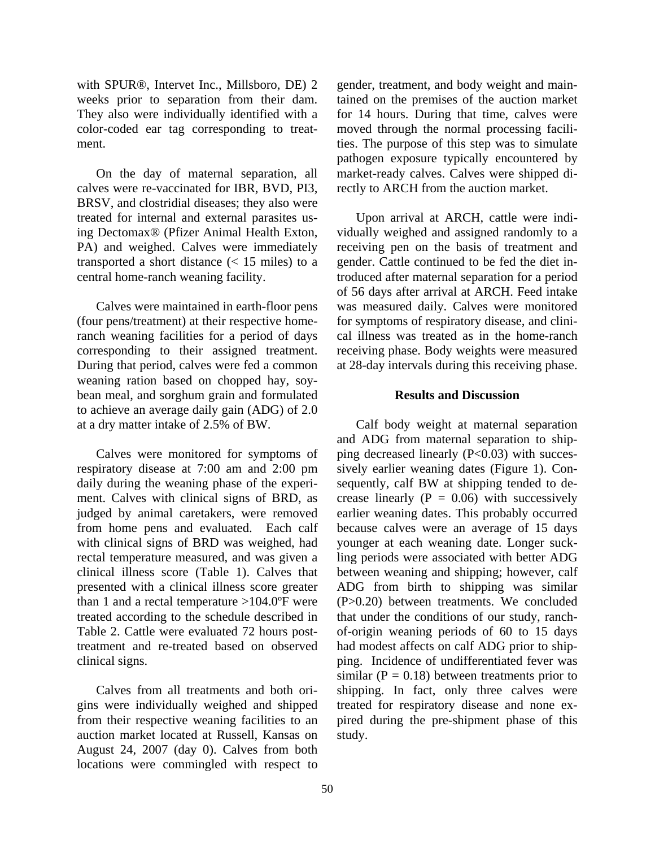with SPUR®, Intervet Inc., Millsboro, DE) 2 weeks prior to separation from their dam. They also were individually identified with a color-coded ear tag corresponding to treatment.

On the day of maternal separation, all calves were re-vaccinated for IBR, BVD, PI3, BRSV, and clostridial diseases; they also were treated for internal and external parasites using Dectomax® (Pfizer Animal Health Exton, PA) and weighed. Calves were immediately transported a short distance  $\left($  < 15 miles) to a central home-ranch weaning facility.

Calves were maintained in earth-floor pens (four pens/treatment) at their respective homeranch weaning facilities for a period of days corresponding to their assigned treatment. During that period, calves were fed a common weaning ration based on chopped hay, soybean meal, and sorghum grain and formulated to achieve an average daily gain (ADG) of 2.0 at a dry matter intake of 2.5% of BW.

Calves were monitored for symptoms of respiratory disease at 7:00 am and 2:00 pm daily during the weaning phase of the experiment. Calves with clinical signs of BRD, as judged by animal caretakers, were removed from home pens and evaluated. Each calf with clinical signs of BRD was weighed, had rectal temperature measured, and was given a clinical illness score (Table 1). Calves that presented with a clinical illness score greater than 1 and a rectal temperature  $>104.0^{\circ}$ F were treated according to the schedule described in Table 2. Cattle were evaluated 72 hours posttreatment and re-treated based on observed clinical signs.

Calves from all treatments and both origins were individually weighed and shipped from their respective weaning facilities to an auction market located at Russell, Kansas on August 24, 2007 (day 0). Calves from both locations were commingled with respect to

gender, treatment, and body weight and maintained on the premises of the auction market for 14 hours. During that time, calves were moved through the normal processing facilities. The purpose of this step was to simulate pathogen exposure typically encountered by market-ready calves. Calves were shipped directly to ARCH from the auction market.

Upon arrival at ARCH, cattle were individually weighed and assigned randomly to a receiving pen on the basis of treatment and gender. Cattle continued to be fed the diet introduced after maternal separation for a period of 56 days after arrival at ARCH. Feed intake was measured daily. Calves were monitored for symptoms of respiratory disease, and clinical illness was treated as in the home-ranch receiving phase. Body weights were measured at 28-day intervals during this receiving phase.

#### **Results and Discussion**

Calf body weight at maternal separation and ADG from maternal separation to shipping decreased linearly  $(P<0.03)$  with successively earlier weaning dates (Figure 1). Consequently, calf BW at shipping tended to decrease linearly  $(P = 0.06)$  with successively earlier weaning dates. This probably occurred because calves were an average of 15 days younger at each weaning date. Longer suckling periods were associated with better ADG between weaning and shipping; however, calf ADG from birth to shipping was similar (P>0.20) between treatments. We concluded that under the conditions of our study, ranchof-origin weaning periods of 60 to 15 days had modest affects on calf ADG prior to shipping. Incidence of undifferentiated fever was similar ( $P = 0.18$ ) between treatments prior to shipping. In fact, only three calves were treated for respiratory disease and none expired during the pre-shipment phase of this study.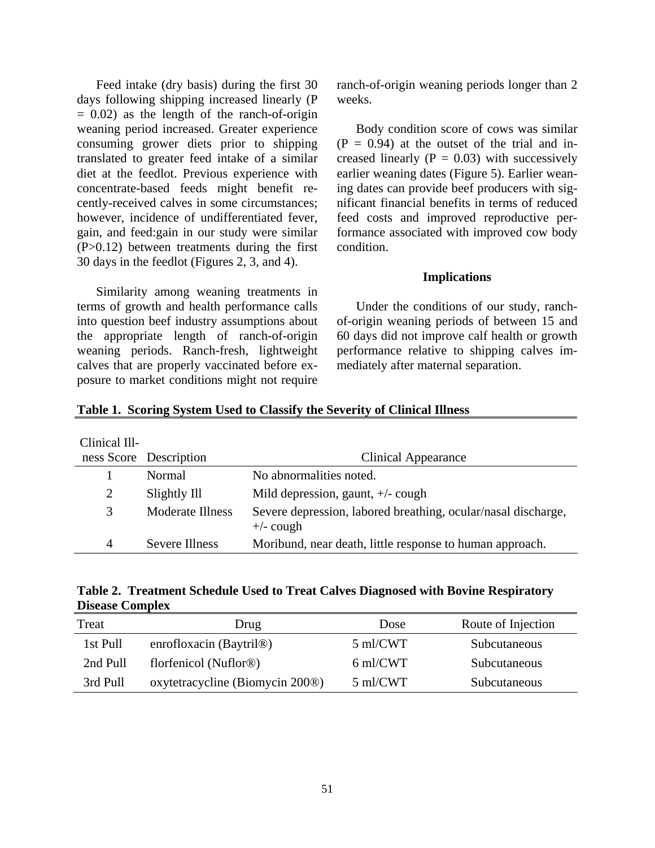Feed intake (dry basis) during the first 30 days following shipping increased linearly (P  $= 0.02$ ) as the length of the ranch-of-origin weaning period increased. Greater experience consuming grower diets prior to shipping translated to greater feed intake of a similar diet at the feedlot. Previous experience with concentrate-based feeds might benefit recently-received calves in some circumstances; however, incidence of undifferentiated fever, gain, and feed:gain in our study were similar (P>0.12) between treatments during the first 30 days in the feedlot (Figures 2, 3, and 4).

Similarity among weaning treatments in terms of growth and health performance calls into question beef industry assumptions about the appropriate length of ranch-of-origin weaning periods. Ranch-fresh, lightweight calves that are properly vaccinated before exposure to market conditions might not require

ranch-of-origin weaning periods longer than 2 weeks.

Body condition score of cows was similar  $(P = 0.94)$  at the outset of the trial and increased linearly  $(P = 0.03)$  with successively earlier weaning dates (Figure 5). Earlier weaning dates can provide beef producers with significant financial benefits in terms of reduced feed costs and improved reproductive performance associated with improved cow body condition.

#### **Implications**

Under the conditions of our study, ranchof-origin weaning periods of between 15 and 60 days did not improve calf health or growth performance relative to shipping calves immediately after maternal separation.

| Clinical Ill- | ness Score Description  | Clinical Appearance                                                          |
|---------------|-------------------------|------------------------------------------------------------------------------|
|               | Normal                  | No abnormalities noted.                                                      |
| 2             | Slightly Ill            | Mild depression, gaunt, $+/-$ cough                                          |
| 3             | <b>Moderate Illness</b> | Severe depression, labored breathing, ocular/nasal discharge,<br>$+/-$ cough |
| 4             | Severe Illness          | Moribund, near death, little response to human approach.                     |

|  |  |  |  | Table 1. Scoring System Used to Classify the Severity of Clinical Illness |  |
|--|--|--|--|---------------------------------------------------------------------------|--|
|  |  |  |  |                                                                           |  |

|                        | Table 2. Treatment Schedule Used to Treat Calves Diagnosed with Bovine Respiratory |  |  |
|------------------------|------------------------------------------------------------------------------------|--|--|
| <b>Disease Complex</b> |                                                                                    |  |  |

| Treat    | Drug                                        | Dose     | Route of Injection |
|----------|---------------------------------------------|----------|--------------------|
| 1st Pull | enrofloxacin (Baytril <sup>®</sup> )        | 5 ml/CWT | Subcutaneous       |
| 2nd Pull | florfenicol (Nuflor <sup>®)</sup>           | 6 ml/CWT | Subcutaneous       |
| 3rd Pull | oxytetracycline (Biomycin 200 <sup>®)</sup> | 5 ml/CWT | Subcutaneous       |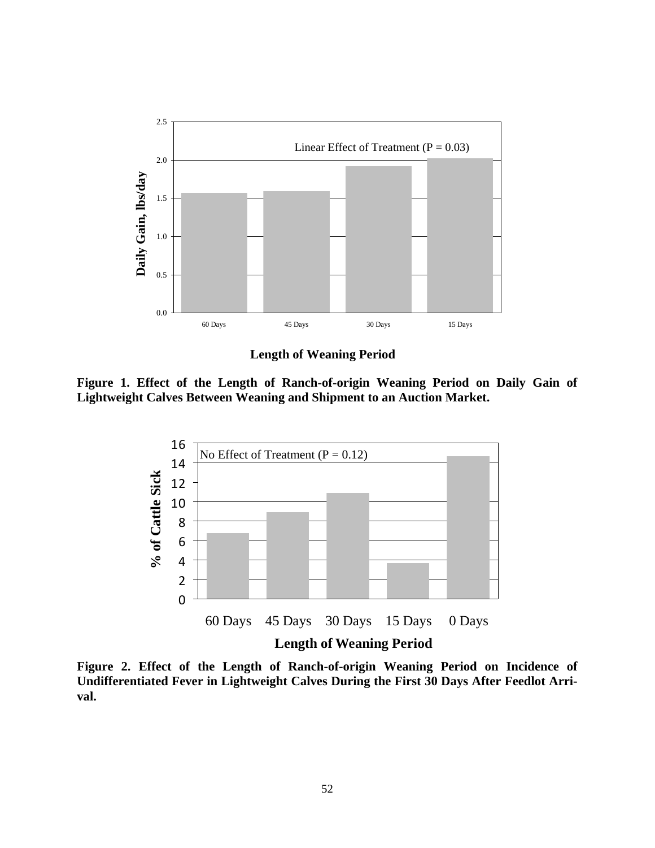

**Length of Weaning Period** 

**Figure 1. Effect of the Length of Ranch-of-origin Weaning Period on Daily Gain of Lightweight Calves Between Weaning and Shipment to an Auction Market.** 



**Figure 2. Effect of the Length of Ranch-of-origin Weaning Period on Incidence of Undifferentiated Fever in Lightweight Calves During the First 30 Days After Feedlot Arrival.**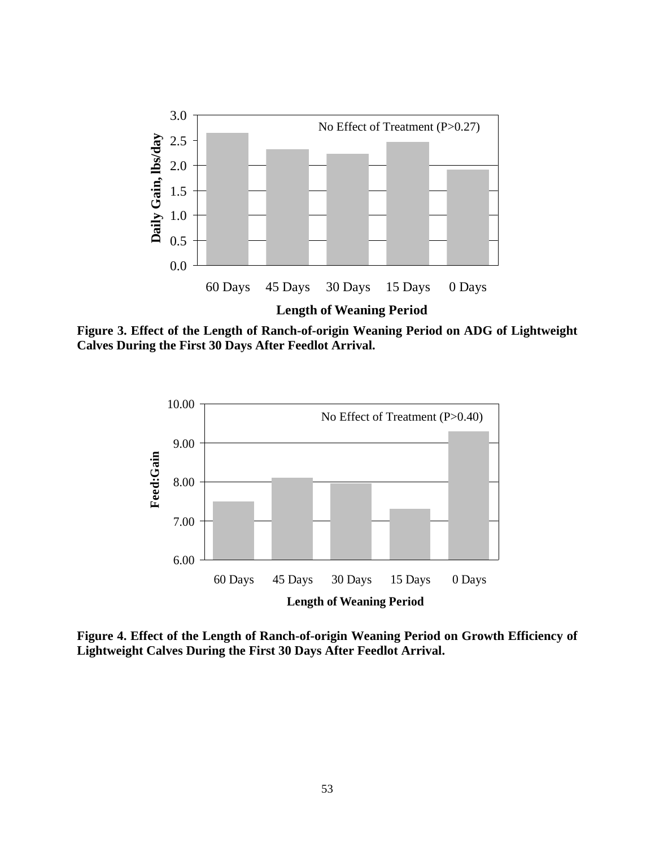

**Figure 3. Effect of the Length of Ranch-of-origin Weaning Period on ADG of Lightweight Calves During the First 30 Days After Feedlot Arrival.** 



**Figure 4. Effect of the Length of Ranch-of-origin Weaning Period on Growth Efficiency of Lightweight Calves During the First 30 Days After Feedlot Arrival.**